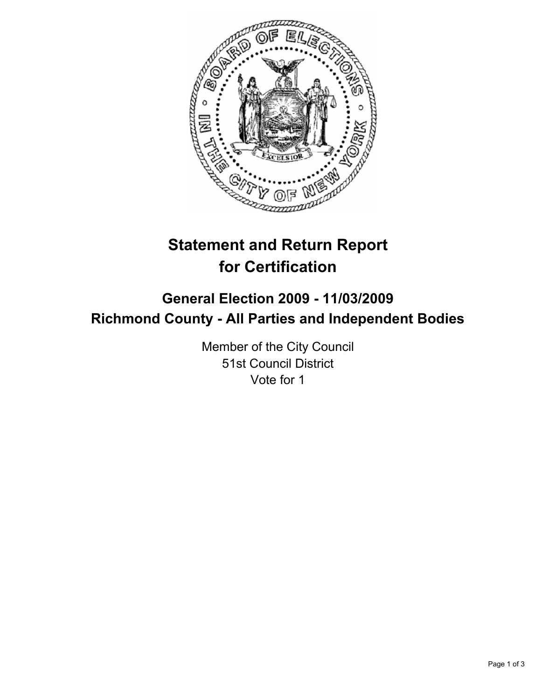

# **Statement and Return Report for Certification**

# **General Election 2009 - 11/03/2009 Richmond County - All Parties and Independent Bodies**

Member of the City Council 51st Council District Vote for 1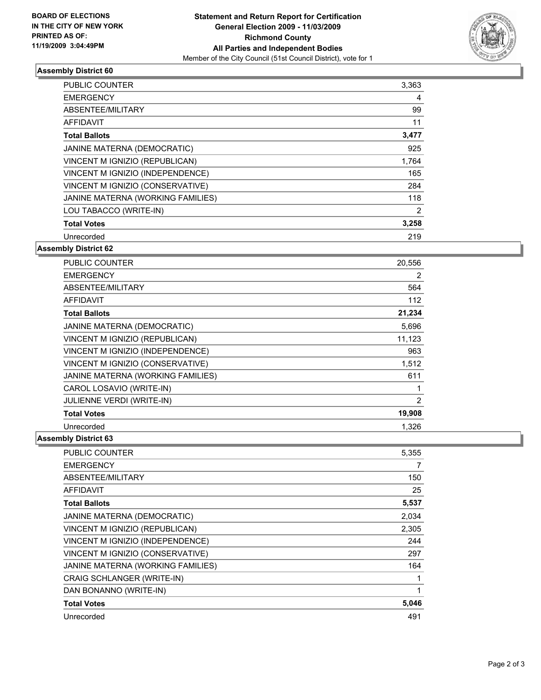

## **Assembly District 60**

| <b>PUBLIC COUNTER</b>             | 3,363 |
|-----------------------------------|-------|
| <b>EMERGENCY</b>                  | 4     |
| ABSENTEE/MILITARY                 | 99    |
| AFFIDAVIT                         | 11    |
| <b>Total Ballots</b>              | 3,477 |
| JANINE MATERNA (DEMOCRATIC)       | 925   |
| VINCENT M IGNIZIO (REPUBLICAN)    | 1.764 |
| VINCENT M IGNIZIO (INDEPENDENCE)  | 165   |
| VINCENT M IGNIZIO (CONSERVATIVE)  | 284   |
| JANINE MATERNA (WORKING FAMILIES) | 118   |
| LOU TABACCO (WRITE-IN)            | 2     |
| <b>Total Votes</b>                | 3,258 |
| Unrecorded                        | 219   |

# **Assembly District 62**

| <b>PUBLIC COUNTER</b>             | 20,556 |
|-----------------------------------|--------|
| <b>EMERGENCY</b>                  | 2      |
| ABSENTEE/MILITARY                 | 564    |
| <b>AFFIDAVIT</b>                  | 112    |
| <b>Total Ballots</b>              | 21,234 |
| JANINE MATERNA (DEMOCRATIC)       | 5,696  |
| VINCENT M IGNIZIO (REPUBLICAN)    | 11,123 |
| VINCENT M IGNIZIO (INDEPENDENCE)  | 963    |
| VINCENT M IGNIZIO (CONSERVATIVE)  | 1,512  |
| JANINE MATERNA (WORKING FAMILIES) | 611    |
| CAROL LOSAVIO (WRITE-IN)          | 1      |
| <b>JULIENNE VERDI (WRITE-IN)</b>  | 2      |
| <b>Total Votes</b>                | 19,908 |
| Unrecorded                        | 1.326  |

## **Assembly District 63**

| <b>PUBLIC COUNTER</b>             | 5,355 |
|-----------------------------------|-------|
| <b>EMERGENCY</b>                  | 7     |
| ABSENTEE/MILITARY                 | 150   |
| AFFIDAVIT                         | 25    |
| <b>Total Ballots</b>              | 5,537 |
| JANINE MATERNA (DEMOCRATIC)       | 2,034 |
| VINCENT M IGNIZIO (REPUBLICAN)    | 2,305 |
| VINCENT M IGNIZIO (INDEPENDENCE)  | 244   |
| VINCENT M IGNIZIO (CONSERVATIVE)  | 297   |
| JANINE MATERNA (WORKING FAMILIES) | 164   |
| CRAIG SCHLANGER (WRITE-IN)        | 1     |
| DAN BONANNO (WRITE-IN)            | 1     |
| <b>Total Votes</b>                | 5,046 |
| Unrecorded                        | 491   |